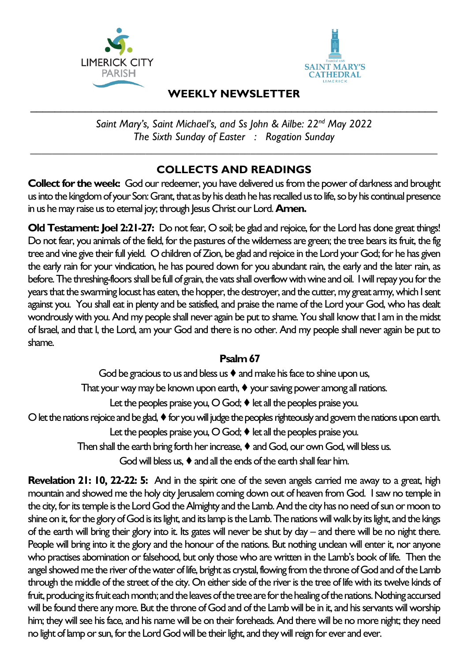



#### **WEEKLY NEWSLETTER**  $\mathcal{L}_\text{max}$  , and the contract of the contract of the contract of the contract of the contract of the contract of the contract of the contract of the contract of the contract of the contract of the contract of the contr

*Saint Mary's, Saint Michael's, and Ss John & Ailbe: 22nd May 2022 The Sixth Sunday of Easter : Rogation Sunday*

*\_\_\_\_\_\_\_\_\_\_\_\_\_\_\_\_\_\_\_\_\_\_\_\_\_\_\_\_\_\_\_\_\_\_\_\_\_\_\_\_\_\_\_\_\_\_\_\_\_\_\_\_\_\_\_\_\_\_\_\_\_\_\_\_\_\_\_\_\_\_\_\_\_\_*

# **COLLECTS AND READINGS**

**Collect for the week:** God our redeemer, you have delivered us from the power of darkness and brought us into the kingdom of your Son: Grant, that as by his death he has recalled us to life, so by his continual presence in us he may raise us to eternal joy; through Jesus Christ our Lord.**Amen.**

**Old Testament: Joel 2:21-27:** Do not fear, O soil; be glad and rejoice, for the Lord has done great things! Do not fear, you animals of the field, for the pastures of the wilderness are green; the tree bears its fruit, the fig tree and vine give their full yield. O children of Zion, be glad and rejoice in the Lord your God; for he has given the early rain for your vindication, he has poured down for you abundant rain, the early and the later rain, as before. The threshing-floors shall be full of grain, the vats shall overflow with wine and oil. I will repay you for the years that the swarming locust has eaten, the hopper, the destroyer, and the cutter, my great army, which I sent against you. You shall eat in plenty and be satisfied, and praise the name of the Lord your God, who has dealt wondrously with you. And my people shall never again be put to shame. You shall know that I am in the midst of Israel, and that I, the Lord, am your God and there is no other. And my people shall never again be put to shame.

## **Psalm67**

God be gracious to us and bless us  $\blacklozenge$  and make his face to shine upon us,

That your way may be known upon earth, ♦︎your saving power among all nations.

Let the peoples praise you,  $O$  God;  $\blacklozenge$  let all the peoples praise you.

O let the nations rejoice and be glad, ♦ for you will judge the peoples righteously and govern the nations upon earth.

Let the peoples praise you,  $O$  God;  $\blacklozenge$  let all the peoples praise you.

Then shall the earth bring forth her increase, ♦︎and God, our own God, will bless us.

God will bless us, ♦︎and all the ends of the earth shall fear him.

**Revelation 21: 10, 22-22: 5:** And in the spirit one of the seven angels carried me away to a great, high mountain and showed me the holy city Jerusalem coming down out of heaven from God. I saw no temple in the city, for its temple is the Lord God the Almighty and the Lamb. And the city has no need of sun or moon to shine on it, for the glory of God is its light, and its lamp is the Lamb. The nations will walk by its light, and the kings of the earth will bring their glory into it. Its gates will never be shut by day – and there will be no night there. People will bring into it the glory and the honour of the nations. But nothing unclean will enter it, nor anyone who practises abomination or falsehood, but only those who are written in the Lamb's book of life. Then the angel showed me the river of the water of life, bright as crystal, flowing from the throne of God and of the Lamb through the middle of the street of the city. On either side of the river is the tree of life with its twelve kinds of fruit, producing its fruit each month; and the leaves of the tree are for the healing of the nations. Nothing accursed will be found there any more. But the throne of God and of the Lamb will be in it, and his servants will worship him; they will see his face, and his name will be on their foreheads. And there will be no more night; they need no light of lamp or sun, for the Lord God will be their light, and they will reign for ever and ever.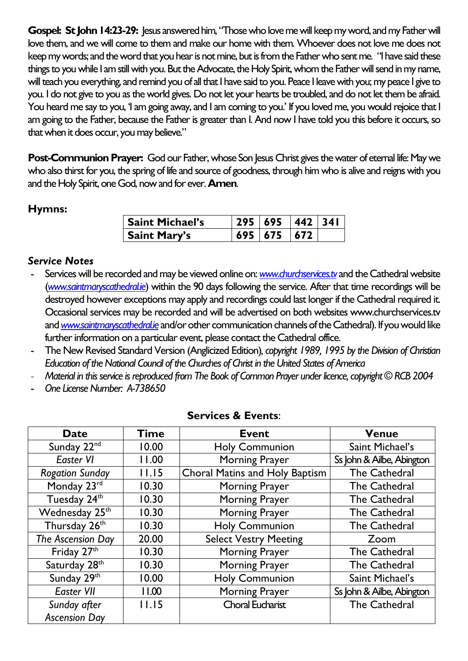**Gospel: St John 14:23-29:** Jesus answered him, "Those who love me will keep my word, and my Father will love them, and we will come to them and make our home with them. Whoever does not love me does not keep my words; and the word that you hear is not mine, but is from the Father who sent me. "I have said these things to you while I am still with you. But the Advocate, the Holy Spirit, whom the Father will send in my name, will teach you everything, and remind you of all that I have said to you. Peace I leave with you; my peace I give to you. I do not give to you as the world gives. Do not let your hearts be troubled, and do not let them be afraid. You heard me say to you, 'I am going away, and I am coming to you.' If you loved me, you would rejoice that I am going to the Father, because the Father is greater than I. And now I have told you this before it occurs, so that when it does occur, you may believe."

**Post-Communion Prayer:** God our Father, whose Son Jesus Christ gives the water of eternal life: May we who also thirst for you, the spring of life and source of goodness, through him who is alive and reigns with you and the Holy Spirit, one God, now and for ever. **Amen**.

### **Hymns:**

| <b>Saint Michael's</b> | 295   695   442   341   |  |
|------------------------|-------------------------|--|
| <b>Saint Mary's</b>    | $695 \mid 675 \mid 672$ |  |

#### *Service Notes*

- Services will be recorded and may be viewed online on: *[www.churchservices.tv](http://www.churchservices.tv/)* and the Cathedral website (*[www.saintmaryscathedral.ie](http://www.saintmaryscathedral.ie/)*) within the 90 days following the service. After that time recordings will be destroyed however exceptions may apply and recordings could last longer if the Cathedral required it. Occasional services may be recorded and will be advertised on both websites www.churchservices.tv and *[www.saintmaryscathedral.ie](http://www.saintmaryscathedral.ie/)* and/or other communication channels of the Cathedral). If you would like further information on a particular event, please contact the Cathedral office.
- The New Revised Standard Version (Anglicized Edition)*, copyright 1989, 1995 by the Division of Christian Education of the National Council of the Churches of Christ in the United States of America*
- *Material in this service is reproduced from The Book of Common Prayer under licence, copyright © RCB 2004*
- *One License Number: A-738650*

| <b>Date</b>                | <b>Time</b> | <b>Event</b>                          | <b>Venue</b>              |  |
|----------------------------|-------------|---------------------------------------|---------------------------|--|
| Sunday 22nd                | 10.00       | <b>Holy Communion</b>                 | Saint Michael's           |  |
| <b>Easter VI</b>           | 11.00       | <b>Morning Prayer</b>                 | Ss John & Ailbe, Abington |  |
| <b>Rogation Sunday</b>     | 11.15       | <b>Choral Matins and Holy Baptism</b> | <b>The Cathedral</b>      |  |
| Monday 23rd                | 10.30       | Morning Prayer                        | <b>The Cathedral</b>      |  |
| Tuesday 24th               | 10.30       | <b>Morning Prayer</b>                 | <b>The Cathedral</b>      |  |
| Wednesday 25 <sup>th</sup> | 10.30       | <b>Morning Prayer</b>                 | <b>The Cathedral</b>      |  |
| Thursday 26 <sup>th</sup>  | 10.30       | <b>Holy Communion</b>                 | <b>The Cathedral</b>      |  |
| The Ascension Day          | 20.00       | <b>Select Vestry Meeting</b>          | Zoom                      |  |
| Friday 27th                | 10.30       | <b>Morning Prayer</b>                 | The Cathedral             |  |
| Saturday 28th              | 10.30       | <b>Morning Prayer</b>                 | The Cathedral             |  |
| Sunday 29th                | 10.00       | <b>Holy Communion</b>                 | Saint Michael's           |  |
| <b>Easter VII</b>          | 11.00       | <b>Morning Prayer</b>                 | Ss John & Ailbe, Abington |  |
| Sunday after               | 11.15       | <b>Choral Eucharist</b>               | <b>The Cathedral</b>      |  |
| <b>Ascension Day</b>       |             |                                       |                           |  |

#### **Services & Events**: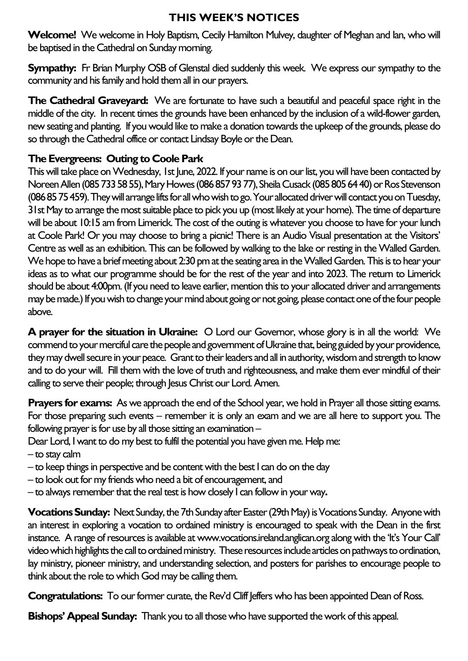## **THIS WEEK'S NOTICES**

**Welcome!** We welcome in Holy Baptism, Cecily Hamilton Mulvey, daughter of Meghan and Ian, who will be baptised in the Cathedral on Sunday morning.

**Sympathy:** Fr Brian Murphy OSB of Glenstal died suddenly this week. We express our sympathy to the community and his family and hold them all in our prayers.

**The Cathedral Graveyard:** We are fortunate to have such a beautiful and peaceful space right in the middle of the city. In recent times the grounds have been enhanced by the inclusion of a wild-flower garden, new seating and planting. If you would like to make a donation towards the upkeep of the grounds, please do so through the Cathedral office or contact Lindsay Boyle or the Dean.

### **The Evergreens: Outing to Coole Park**

This will take place on Wednesday, 1st June, 2022. If your name is on our list, you will have been contacted by Noreen Allen (085 733 58 55), Mary Howes (086 857 93 77), Sheila Cusack (085 805 64 40) or Ros Stevenson (086 85 75 459). They will arrange lifts for all who wish to go. Your allocated driver will contact you on Tuesday, 31st May to arrange the most suitable place to pick you up (most likely at your home). The time of departure will be about 10:15 am from Limerick. The cost of the outing is whatever you choose to have for your lunch at Coole Park! Or you may choose to bring a picnic! There is an Audio Visual presentation at the Visitors' Centre as well as an exhibition. This can be followed by walking to the lake or resting in the Walled Garden. We hope to have a brief meeting about 2:30 pm at the seating area in the Walled Garden. This is to hear your ideas as to what our programme should be for the rest of the year and into 2023. The return to Limerick should be about 4:00pm. (If you need to leave earlier, mention this to your allocated driver and arrangements may be made.) If you wish to change your mind about going or not going, please contact one of the four people above.

**A prayer for the situation in Ukraine:** O Lord our Governor, whose glory is in all the world: We commend to your merciful care the people and government of Ukraine that, being guided by your providence, they may dwell secure in your peace. Grant to their leaders and all in authority, wisdom and strength to know and to do your will. Fill them with the love of truth and righteousness, and make them ever mindful of their calling to serve their people; through Jesus Christ our Lord. Amen.

**Prayers for exams:** As we approach the end of the School year, we hold in Prayer all those sitting exams. For those preparing such events – remember it is only an exam and we are all here to support you. The following prayer is for use by all those sitting an examination –

Dear Lord, I want to do my best to fulfil the potential you have given me. Help me:

- to stay calm
- to keep things in perspective and be content with the best I can do on the day
- to look out for my friends who need a bit of encouragement, and
- to always remember that the real test is how closely I can follow in your way**.**

**Vocations Sunday:** Next Sunday, the 7th Sunday after Easter (29th May) is Vocations Sunday. Anyone with an interest in exploring a vocation to ordained ministry is encouraged to speak with the Dean in the first instance. A range of resources is available at www.vocations.ireland.anglican.org along with the 'It's Your Call' video which highlights the call to ordained ministry. These resources include articles on pathways to ordination, lay ministry, pioneer ministry, and understanding selection, and posters for parishes to encourage people to think about the role to which God may be calling them.

**Congratulations:** To our former curate, the Rev'd Cliff Jeffers who has been appointed Dean of Ross.

**Bishops' Appeal Sunday:** Thank you to all those who have supported the work of this appeal.